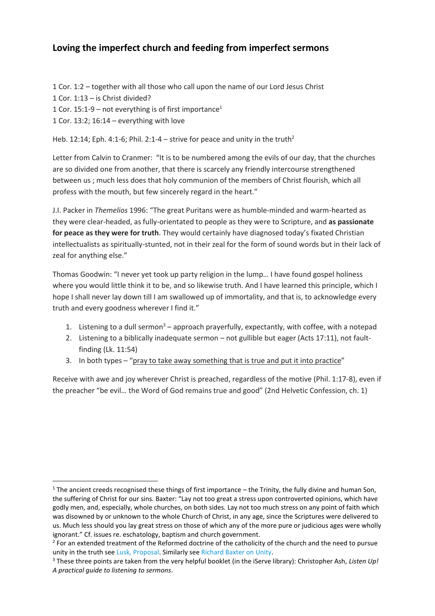## **Loving the imperfect church and feeding from imperfect sermons**

- 1 Cor. 1:2 together with all those who call upon the name of our Lord Jesus Christ
- 1 Cor. 1:13 is Christ divided?

 $\overline{\phantom{a}}$ 

- 1 Cor. 15:1-9 not everything is of first importance<sup>1</sup>
- 1 Cor. 13:2; 16:14 everything with love

Heb. 12:14; Eph. 4:1-6; Phil. 2:1-4 – strive for peace and unity in the truth<sup>2</sup>

Letter from Calvin to Cranmer: "It is to be numbered among the evils of our day, that the churches are so divided one from another, that there is scarcely any friendly intercourse strengthened between us ; much less does that holy communion of the members of Christ flourish, which all profess with the mouth, but few sincerely regard in the heart."

J.I. Packer in *Themelios* 1996: "The great Puritans were as humble-minded and warm-hearted as they were clear-headed, as fully-orientated to people as they were to Scripture, and **as passionate for peace as they were for truth**. They would certainly have diagnosed today's fixated Christian intellectualists as spiritually-stunted, not in their zeal for the form of sound words but in their lack of zeal for anything else."

Thomas Goodwin: "I never yet took up party religion in the lump… I have found gospel holiness where you would little think it to be, and so likewise truth. And I have learned this principle, which I hope I shall never lay down till I am swallowed up of immortality, and that is, to acknowledge every truth and every goodness wherever I find it."

- 1. Listening to a dull sermon<sup>3</sup> approach prayerfully, expectantly, with coffee, with a notepad
- 2. Listening to a biblically inadequate sermon not gullible but eager (Acts 17:11), not faultfinding (Lk. 11:54)
- 3. In both types "pray to take away something that is true and put it into practice"

Receive with awe and joy wherever Christ is preached, regardless of the motive (Phil. 1:17-8), even if the preacher "be evil… the Word of God remains true and good" (2nd Helvetic Confession, ch. 1)

<sup>&</sup>lt;sup>1</sup> The ancient creeds recognised these things of first importance – the Trinity, the fully divine and human Son, the suffering of Christ for our sins. Baxter: "Lay not too great a stress upon controverted opinions, which have godly men, and, especially, whole churches, on both sides. Lay not too much stress on any point of faith which was disowned by or unknown to the whole Church of Christ, in any age, since the Scriptures were delivered to us. Much less should you lay great stress on those of which any of the more pure or judicious ages were wholly ignorant." Cf. issues re. eschatology, baptism and church government.

<sup>&</sup>lt;sup>2</sup> For an extended treatment of the Reformed doctrine of the catholicity of the church and the need to pursue unity in the truth se[e Lusk, Proposal.](http://www.biblicalstudies.org.uk/pdf/ref-rev/13-1/13-1_lusk.pdf) Similarly se[e Richard Baxter on Unity.](https://watumishiwaneno.wordpress.com/2015/11/17/baxter-on-unity/)

<sup>3</sup> These three points are taken from the very helpful booklet (in the iServe library): Christopher Ash, *Listen Up! A practical guide to listening to sermons*.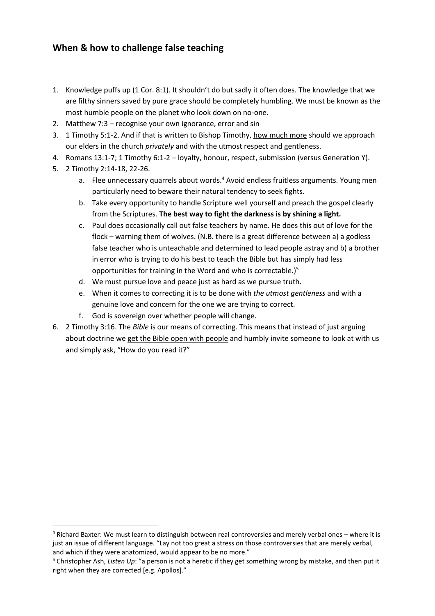## **When & how to challenge false teaching**

- 1. Knowledge puffs up (1 Cor. 8:1). It shouldn't do but sadly it often does. The knowledge that we are filthy sinners saved by pure grace should be completely humbling. We must be known as the most humble people on the planet who look down on no-one.
- 2. Matthew 7:3 recognise your own ignorance, error and sin
- 3. 1 Timothy 5:1-2. And if that is written to Bishop Timothy, how much more should we approach our elders in the church *privately* and with the utmost respect and gentleness.
- 4. Romans 13:1-7; 1 Timothy 6:1-2 loyalty, honour, respect, submission (versus Generation Y).
- 5. 2 Timothy 2:14-18, 22-26.

**.** 

- a. Flee unnecessary quarrels about words.<sup>4</sup> Avoid endless fruitless arguments. Young men particularly need to beware their natural tendency to seek fights.
- b. Take every opportunity to handle Scripture well yourself and preach the gospel clearly from the Scriptures. **The best way to fight the darkness is by shining a light.**
- c. Paul does occasionally call out false teachers by name. He does this out of love for the flock – warning them of wolves. (N.B. there is a great difference between a) a godless false teacher who is unteachable and determined to lead people astray and b) a brother in error who is trying to do his best to teach the Bible but has simply had less opportunities for training in the Word and who is correctable.)<sup>5</sup>
- d. We must pursue love and peace just as hard as we pursue truth.
- e. When it comes to correcting it is to be done with *the utmost gentleness* and with a genuine love and concern for the one we are trying to correct.
- f. God is sovereign over whether people will change.
- 6. 2 Timothy 3:16. The *Bible* is our means of correcting. This means that instead of just arguing about doctrine we get the Bible open with people and humbly invite someone to look at with us and simply ask, "How do you read it?"

<sup>4</sup> Richard Baxter: We must learn to distinguish between real controversies and merely verbal ones – where it is just an issue of different language. "Lay not too great a stress on those controversies that are merely verbal, and which if they were anatomized, would appear to be no more."

<sup>5</sup> Christopher Ash, *Listen Up*: "a person is not a heretic if they get something wrong by mistake, and then put it right when they are corrected [e.g. Apollos]."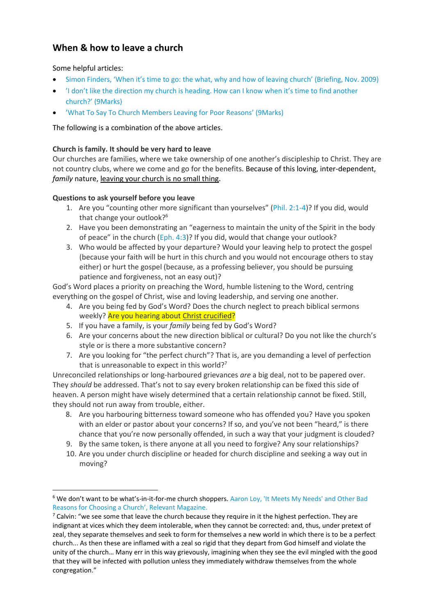# **When & how to leave a church**

### Some helpful articles:

**.** 

- [Simon Finders, 'When it's time to go: the what, why and how of leaving church' \(Briefing, Nov. 2009\)](http://matthiasmedia.com/briefing/2009/11/when-its-time-to-go-the-what-why-and-how-of-leaving-church/)
- 'I [don't like the direction my church is heading. How can I know when it's time to find another](http://9marks.org/answer/i-dont-direction-my-church-heading-how-can-i-know-when-its-time-find-another-church/)  church?' [\(9Marks\)](http://9marks.org/answer/i-dont-direction-my-church-heading-how-can-i-know-when-its-time-find-another-church/)
- 'W[hat To Say To Church Members Leaving for Poor Reasons](http://9marks.org/article/what-to-say-to-church-members-leaving-for-poor-reasons/)' (9Marks)

## The following is a combination of the above articles.

### **Church is family. It should be very hard to leave**

Our churches are families, where we take ownership of one another's discipleship to Christ. They are not country clubs, where we come and go for the benefits. Because of this loving, inter-dependent, *family* nature, leaving your church is no small thing.

## **Questions to ask yourself before you leave**

- 1. Are you "counting other more significant than yourselves" ([Phil. 2:1-4\)](http://biblia.com/bible/esv/Phil.%202.1-4)? If you did, would that change your outlook?<sup>6</sup>
- 2. Have you been demonstrating an "eagerness to maintain the unity of the Spirit in the body of peace" in the church ([Eph. 4:3\)](http://biblia.com/bible/esv/Eph.%204.3)? If you did, would that change your outlook?
- 3. Who would be affected by your departure? Would your leaving help to protect the gospel (because your faith will be hurt in this church and you would not encourage others to stay either) or hurt the gospel (because, as a professing believer, you should be pursuing patience and forgiveness, not an easy out)?

God's Word places a priority on preaching the Word, humble listening to the Word, centring everything on the gospel of Christ, wise and loving leadership, and serving one another.

- 4. Are you being fed by God's Word? Does the church neglect to preach biblical sermons weekly? Are you hearing about Christ crucified?
- 5. If you have a family, is your *family* being fed by God's Word?
- 6. Are your concerns about the new direction biblical or cultural? Do you not like the church's style or is there a more substantive concern?
- 7. Are you looking for "the perfect church"? That is, are you demanding a level of perfection that is unreasonable to expect in this world?<sup>7</sup>

Unreconciled relationships or long-harboured grievances *are* a big deal, not to be papered over. They *should* be addressed. That's not to say every broken relationship can be fixed this side of heaven. A person might have wisely determined that a certain relationship cannot be fixed. Still, they should not run away from trouble, either.

- 8. Are you harbouring bitterness toward someone who has offended you? Have you spoken with an elder or pastor about your concerns? If so, and you've not been "heard," is there chance that you're now personally offended, in such a way that your judgment is clouded?
- 9. By the same token, is there anyone at all you need to forgive? Any sour relationships?
- 10. Are you under church discipline or headed for church discipline and seeking a way out in moving?

<sup>6</sup> We don't want to be what's-in-it-for-me church shoppers. [Aaron Loy, 'It Meets My Needs' and Other Bad](http://www.relevantmagazine.com/god/church/it-meets-my-needs-and-other-bad-reasons-choosing-church)  [Reasons for Choosing a Church', Relevant Magazine](http://www.relevantmagazine.com/god/church/it-meets-my-needs-and-other-bad-reasons-choosing-church).

 $7$  Calvin: "we see some that leave the church because they require in it the highest perfection. They are indignant at vices which they deem intolerable, when they cannot be corrected: and, thus, under pretext of zeal, they separate themselves and seek to form for themselves a new world in which there is to be a perfect church... As then these are inflamed with a zeal so rigid that they depart from God himself and violate the unity of the church… Many err in this way grievously, imagining when they see the evil mingled with the good that they will be infected with pollution unless they immediately withdraw themselves from the whole congregation."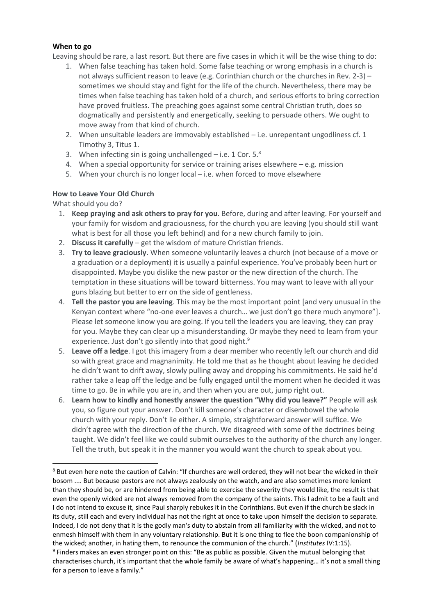#### **When to go**

Leaving should be rare, a last resort. But there are five cases in which it will be the wise thing to do:

- 1. When false teaching has taken hold. Some false teaching or wrong emphasis in a church is not always sufficient reason to leave (e.g. Corinthian church or the churches in Rev. 2-3) – sometimes we should stay and fight for the life of the church. Nevertheless, there may be times when false teaching has taken hold of a church, and serious efforts to bring correction have proved fruitless. The preaching goes against some central Christian truth, does so dogmatically and persistently and energetically, seeking to persuade others. We ought to move away from that kind of church.
- 2. When unsuitable leaders are immovably established i.e. unrepentant ungodliness cf. 1 Timothy 3, Titus 1.
- 3. When infecting sin is going unchallenged  $-$  i.e. 1 Cor. 5. $^8$
- 4. When a special opportunity for service or training arises elsewhere e.g. mission
- 5. When your church is no longer local i.e. when forced to move elsewhere

#### **How to Leave Your Old Church**

#### What should you do?

1

- 1. **Keep praying and ask others to pray for you**. Before, during and after leaving. For yourself and your family for wisdom and graciousness, for the church you are leaving (you should still want what is best for all those you left behind) and for a new church family to join.
- 2. **Discuss it carefully**  get the wisdom of mature Christian friends.
- 3. **Try to leave graciously**. When someone voluntarily leaves a church (not because of a move or a graduation or a deployment) it is usually a painful experience. You've probably been hurt or disappointed. Maybe you dislike the new pastor or the new direction of the church. The temptation in these situations will be toward bitterness. You may want to leave with all your guns blazing but better to err on the side of gentleness.
- 4. **Tell the pastor you are leaving**. This may be the most important point [and very unusual in the Kenyan context where "no-one ever leaves a church… we just don't go there much anymore"]. Please let someone know you are going. If you tell the leaders you are leaving, they can pray for you. Maybe they can clear up a misunderstanding. Or maybe they need to learn from your experience. Just don't go silently into that good night.<sup>9</sup>
- 5. **Leave off a ledge**. I got this imagery from a dear member who recently left our church and did so with great grace and magnanimity. He told me that as he thought about leaving he decided he didn't want to drift away, slowly pulling away and dropping his commitments. He said he'd rather take a leap off the ledge and be fully engaged until the moment when he decided it was time to go. Be in while you are in, and then when you are out, jump right out.
- 6. **Learn how to kindly and honestly answer the question "Why did you leave?"** People will ask you, so figure out your answer. Don't kill someone's character or disembowel the whole church with your reply. Don't lie either. A simple, straightforward answer will suffice. We didn't agree with the direction of the church. We disagreed with some of the doctrines being taught. We didn't feel like we could submit ourselves to the authority of the church any longer. Tell the truth, but speak it in the manner you would want the church to speak about you.

<sup>&</sup>lt;sup>8</sup> But even here note the caution of Calvin: "If churches are well ordered, they will not bear the wicked in their bosom .... But because pastors are not always zealously on the watch, and are also sometimes more lenient than they should be, or are hindered from being able to exercise the severity they would like, the result is that even the openly wicked are not always removed from the company of the saints. This I admit to be a fault and I do not intend to excuse it, since Paul sharply rebukes it in the Corinthians. But even if the church be slack in its duty, still each and every individual has not the right at once to take upon himself the decision to separate. Indeed, I do not deny that it is the godly man's duty to abstain from all familiarity with the wicked, and not to enmesh himself with them in any voluntary relationship. But it is one thing to flee the boon companionship of the wicked; another, in hating them, to renounce the communion of the church." (*Institutes* IV:1:15). <sup>9</sup> Finders makes an even stronger point on this: "Be as public as possible. Given the mutual belonging that characterises church, it's important that the whole family be aware of what's happening… it's not a small thing for a person to leave a family."